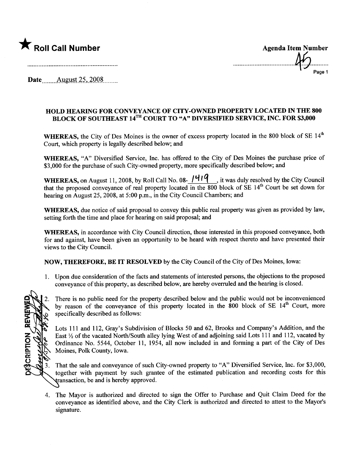

Page 1

Date \_\_\_\_\_\_ August 25, 2008. \_\_\_\_\_

## HOLD HEARING FOR CONVEYANCE OF CITY-OWNED PROPERTY LOCATED IN THE 800 BLOCK OF SOUTHEAST 14<sup>TH</sup> COURT TO "A" DIVERSIFIED SERVICE, INC. FOR \$3,000

WHEREAS, the City of Des Moines is the owner of excess property located in the 800 block of SE 14<sup>th</sup> Court, which property is legally described below; and

WHEREAS, "A" Diversified Service, Inc. has offered to the City of Des Moines the purchase price of \$3,000 for the purchase of such City-owned property, more specifically described below; and

WHEREAS, on August 11, 2008, by Roll Call No. 08-  $1419$ , it was duly resolved by the City Council that the proposed conveyance of real property located in the  $800$  block of SE 14<sup>th</sup> Court be set down for hearing on August 25, 2008, at 5:00 p.m., in the City Council Chambers; and

WHEREAS, due notice of said proposal to convey this public real property was given as provided by law, setting forth the time and place for hearing on said proposal; and

WHEREAS, in accordance with City Council direction, those interested in this proposed conveyance, both for and against, have been given an opportnity to be heard with respect thereto and have presented their views to the City CounciL.

NOW, THEREFORE, BE IT RESOLVED by the City Council of the City of Des Moines, Iowa:

1. Upon due consideration of the facts and statements of interested persons, the objections to the proposed conveyance of this property, as described below, are hereby overruled and the hearing is closed.

DESCRIPTION REVIEWE 3.

There is no public need for the property described below and the public would not be inconvenienced by reason of the conveyance of this property located in the 800 block of SE 14<sup>th</sup> Court, more specifically described as follows:

Lots 111 and 112, Gray's Subdivision of Blocks 50 and 62, Brooks and Company's Addition, and the East  $\frac{1}{2}$  of the vacated North/South alley lying West of and adjoining said Lots 111 and 112, vacated by Ordinance No. 5544, October 11, 1954, all now included in and forming a part of the City of Des Moines, Polk County, Iowa.

That the sale and conveyance of such City-owned property to "A" Diversified Service, Inc. for \$3,000, together with payment by such grantee of the estimated publication and recording costs for this ansaction, be and is hereby approved.

4. The Mayor is authorized and directed to sign the Offer to Purchase and Quit Claim Deed for the conveyance as identified above, and the City Clerk is authorized and directed to attest to the Mayor's signature.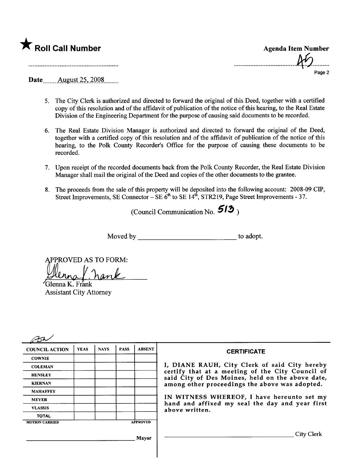

| <b>Agenda Item Number</b> |  |
|---------------------------|--|
| A <sup>6</sup>            |  |
| Page 2                    |  |

Date August 25, 2008

- 5. The City Clerk is authorized and directed to forward the original of this Deed, together with a certified copy of this resolution and of the affdavit of publication of the notice of this hearng, to the Real Estate Division of the Engineering Deparment for the purpose of causing said documents to be recorded.
- 6. The Real Estate Division Manager is authorized and directed to forward the original of the Deed, together with a certified copy of this resolution and of the affidavit of publication of the notice of this hearing, to the Polk County Recorder's Office for the purpose of causing these documents to be recorded.
- 7. Upon receipt of the recorded documents back from the Polk County Recorder, the Real Estate Division Manager shall mail the original of the Deed and copies of the other documents to the grantee.
- 8. The proceeds from the sale of this property will be deposited into the following account: 2008-09 CIP, Street Improvements, SE Connector - SE 6<sup>th</sup> to SE 14<sup>th</sup>, STR219, Page Street Improvements - 37.

(Council Communication No.  $513$ )

Moved by to adopt.

APPROVED AS TO FORM:

Ellinna f. nank **Assistant City Attorney** 

| <b>COUNCIL ACTION</b> | <b>YEAS</b> | <b>NAYS</b> | <b>PASS</b> | <b>ABSENT</b>   | <b>CERTIFICATE</b>                                                                                   |
|-----------------------|-------------|-------------|-------------|-----------------|------------------------------------------------------------------------------------------------------|
| <b>COWNIE</b>         |             |             |             |                 |                                                                                                      |
| <b>COLEMAN</b>        |             |             |             |                 | I, DIANE RAUH, City Clerk of said City hereby                                                        |
| <b>HENSLEY</b>        |             |             |             |                 | certify that at a meeting of the City Council of<br>said City of Des Moines, held on the above date, |
| <b>KIERNAN</b>        |             |             |             |                 | among other proceedings the above was adopted.                                                       |
| <b>MAHAFFEY</b>       |             |             |             |                 |                                                                                                      |
| <b>MEYER</b>          |             |             |             |                 | IN WITNESS WHEREOF, I have hereunto set my<br>hand and affixed my seal the day and year first        |
| <b>VLASSIS</b>        |             |             |             | above written.  |                                                                                                      |
| <b>TOTAL</b>          |             |             |             |                 |                                                                                                      |
| <b>MOTION CARRIED</b> |             |             |             | <b>APPROVED</b> |                                                                                                      |
|                       |             |             |             | Mayor           | City Clerk                                                                                           |